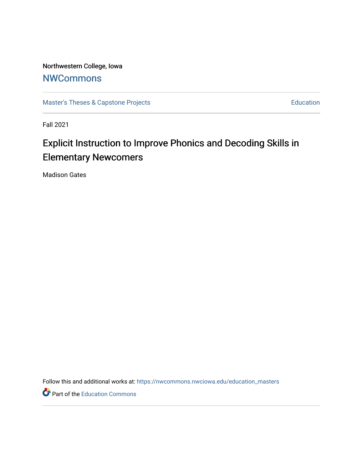Northwestern College, Iowa **[NWCommons](https://nwcommons.nwciowa.edu/)** 

[Master's Theses & Capstone Projects](https://nwcommons.nwciowa.edu/education_masters) **Education** Education

Fall 2021

# Explicit Instruction to Improve Phonics and Decoding Skills in Elementary Newcomers

Madison Gates

Follow this and additional works at: [https://nwcommons.nwciowa.edu/education\\_masters](https://nwcommons.nwciowa.edu/education_masters?utm_source=nwcommons.nwciowa.edu%2Feducation_masters%2F359&utm_medium=PDF&utm_campaign=PDFCoverPages)

Part of the [Education Commons](http://network.bepress.com/hgg/discipline/784?utm_source=nwcommons.nwciowa.edu%2Feducation_masters%2F359&utm_medium=PDF&utm_campaign=PDFCoverPages)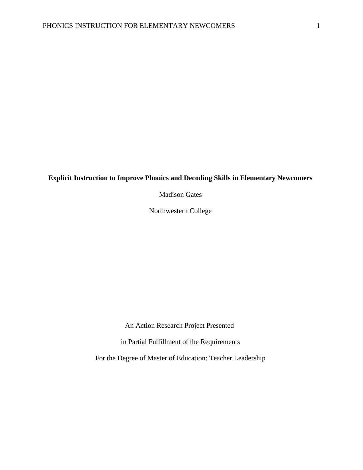## **Explicit Instruction to Improve Phonics and Decoding Skills in Elementary Newcomers**

Madison Gates

Northwestern College

An Action Research Project Presented

in Partial Fulfillment of the Requirements

For the Degree of Master of Education: Teacher Leadership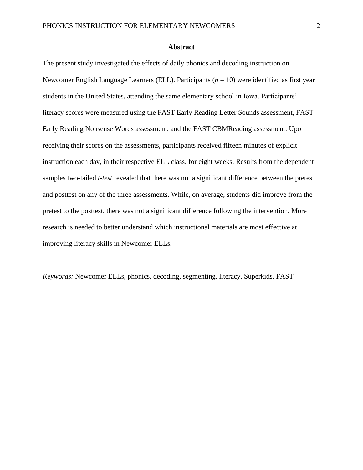#### **Abstract**

<span id="page-2-0"></span>The present study investigated the effects of daily phonics and decoding instruction on Newcomer English Language Learners (ELL). Participants (*n* = 10) were identified as first year students in the United States, attending the same elementary school in Iowa. Participants' literacy scores were measured using the FAST Early Reading Letter Sounds assessment, FAST Early Reading Nonsense Words assessment, and the FAST CBMReading assessment. Upon receiving their scores on the assessments, participants received fifteen minutes of explicit instruction each day, in their respective ELL class, for eight weeks. Results from the dependent samples two-tailed *t-test* revealed that there was not a significant difference between the pretest and posttest on any of the three assessments. While, on average, students did improve from the pretest to the posttest, there was not a significant difference following the intervention. More research is needed to better understand which instructional materials are most effective at improving literacy skills in Newcomer ELLs.

*Keywords:* Newcomer ELLs, phonics, decoding, segmenting, literacy, Superkids, FAST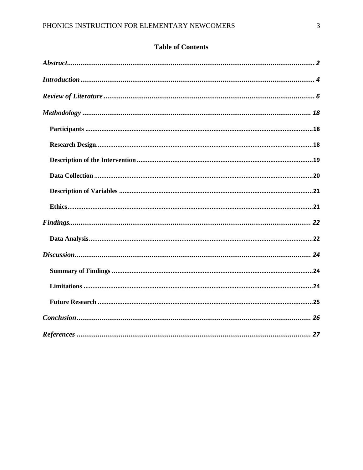# **Table of Contents**

<span id="page-3-0"></span>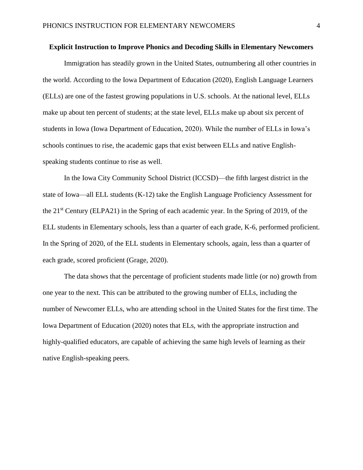#### **Explicit Instruction to Improve Phonics and Decoding Skills in Elementary Newcomers**

Immigration has steadily grown in the United States, outnumbering all other countries in the world. According to the Iowa Department of Education (2020), English Language Learners (ELLs) are one of the fastest growing populations in U.S. schools. At the national level, ELLs make up about ten percent of students; at the state level, ELLs make up about six percent of students in Iowa (Iowa Department of Education, 2020). While the number of ELLs in Iowa's schools continues to rise, the academic gaps that exist between ELLs and native Englishspeaking students continue to rise as well.

In the Iowa City Community School District (ICCSD)—the fifth largest district in the state of Iowa—all ELL students (K-12) take the English Language Proficiency Assessment for the 21st Century (ELPA21) in the Spring of each academic year. In the Spring of 2019, of the ELL students in Elementary schools, less than a quarter of each grade, K-6, performed proficient. In the Spring of 2020, of the ELL students in Elementary schools, again, less than a quarter of each grade, scored proficient (Grage, 2020).

The data shows that the percentage of proficient students made little (or no) growth from one year to the next. This can be attributed to the growing number of ELLs, including the number of Newcomer ELLs, who are attending school in the United States for the first time. The Iowa Department of Education (2020) notes that ELs, with the appropriate instruction and highly-qualified educators, are capable of achieving the same high levels of learning as their native English-speaking peers.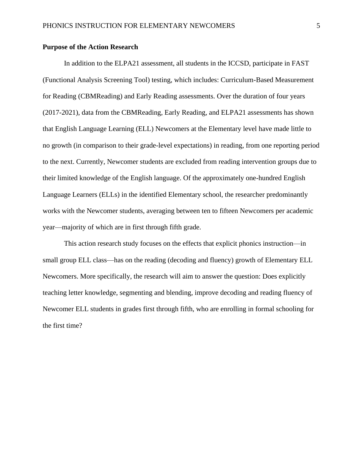## **Purpose of the Action Research**

In addition to the ELPA21 assessment, all students in the ICCSD, participate in FAST (Functional Analysis Screening Tool) testing, which includes: Curriculum-Based Measurement for Reading (CBMReading) and Early Reading assessments. Over the duration of four years (2017-2021), data from the CBMReading, Early Reading, and ELPA21 assessments has shown that English Language Learning (ELL) Newcomers at the Elementary level have made little to no growth (in comparison to their grade-level expectations) in reading, from one reporting period to the next. Currently, Newcomer students are excluded from reading intervention groups due to their limited knowledge of the English language. Of the approximately one-hundred English Language Learners (ELLs) in the identified Elementary school, the researcher predominantly works with the Newcomer students, averaging between ten to fifteen Newcomers per academic year—majority of which are in first through fifth grade.

This action research study focuses on the effects that explicit phonics instruction—in small group ELL class—has on the reading (decoding and fluency) growth of Elementary ELL Newcomers. More specifically, the research will aim to answer the question: Does explicitly teaching letter knowledge, segmenting and blending, improve decoding and reading fluency of Newcomer ELL students in grades first through fifth, who are enrolling in formal schooling for the first time?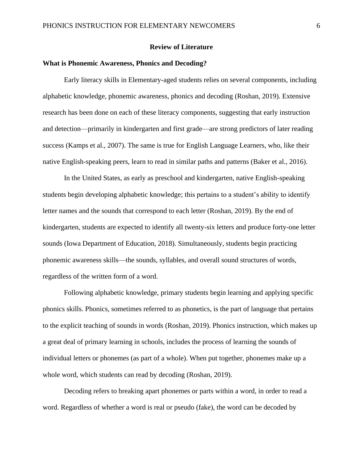## **Review of Literature**

#### <span id="page-6-0"></span>**What is Phonemic Awareness, Phonics and Decoding?**

Early literacy skills in Elementary-aged students relies on several components, including alphabetic knowledge, phonemic awareness, phonics and decoding (Roshan, 2019). Extensive research has been done on each of these literacy components, suggesting that early instruction and detection—primarily in kindergarten and first grade—are strong predictors of later reading success (Kamps et al., 2007). The same is true for English Language Learners, who, like their native English-speaking peers, learn to read in similar paths and patterns (Baker et al., 2016).

In the United States, as early as preschool and kindergarten, native English-speaking students begin developing alphabetic knowledge; this pertains to a student's ability to identify letter names and the sounds that correspond to each letter (Roshan, 2019). By the end of kindergarten, students are expected to identify all twenty-six letters and produce forty-one letter sounds (Iowa Department of Education, 2018). Simultaneously, students begin practicing phonemic awareness skills—the sounds, syllables, and overall sound structures of words, regardless of the written form of a word.

Following alphabetic knowledge, primary students begin learning and applying specific phonics skills. Phonics, sometimes referred to as phonetics, is the part of language that pertains to the explicit teaching of sounds in words (Roshan, 2019). Phonics instruction, which makes up a great deal of primary learning in schools, includes the process of learning the sounds of individual letters or phonemes (as part of a whole). When put together, phonemes make up a whole word, which students can read by decoding (Roshan, 2019).

Decoding refers to breaking apart phonemes or parts within a word, in order to read a word. Regardless of whether a word is real or pseudo (fake), the word can be decoded by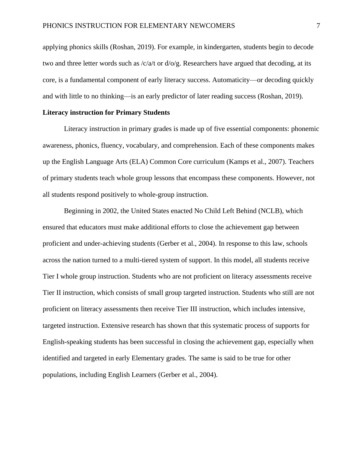applying phonics skills (Roshan, 2019). For example, in kindergarten, students begin to decode two and three letter words such as  $\frac{\sqrt{a}}{t}$  or  $\frac{d}{\sqrt{g}}$ . Researchers have argued that decoding, at its core, is a fundamental component of early literacy success. Automaticity—or decoding quickly and with little to no thinking—is an early predictor of later reading success (Roshan, 2019).

#### **Literacy instruction for Primary Students**

Literacy instruction in primary grades is made up of five essential components: phonemic awareness, phonics, fluency, vocabulary, and comprehension. Each of these components makes up the English Language Arts (ELA) Common Core curriculum (Kamps et al., 2007). Teachers of primary students teach whole group lessons that encompass these components. However, not all students respond positively to whole-group instruction.

Beginning in 2002, the United States enacted No Child Left Behind (NCLB), which ensured that educators must make additional efforts to close the achievement gap between proficient and under-achieving students (Gerber et al., 2004). In response to this law, schools across the nation turned to a multi-tiered system of support. In this model, all students receive Tier I whole group instruction. Students who are not proficient on literacy assessments receive Tier II instruction, which consists of small group targeted instruction. Students who still are not proficient on literacy assessments then receive Tier III instruction, which includes intensive, targeted instruction. Extensive research has shown that this systematic process of supports for English-speaking students has been successful in closing the achievement gap, especially when identified and targeted in early Elementary grades. The same is said to be true for other populations, including English Learners (Gerber et al., 2004).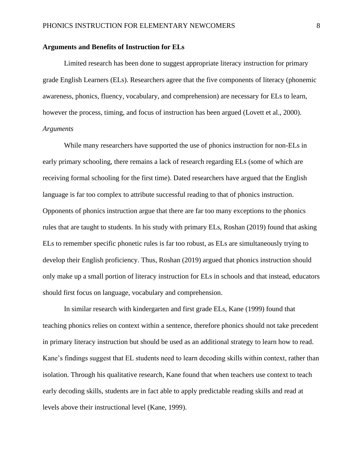## **Arguments and Benefits of Instruction for ELs**

Limited research has been done to suggest appropriate literacy instruction for primary grade English Learners (ELs). Researchers agree that the five components of literacy (phonemic awareness, phonics, fluency, vocabulary, and comprehension) are necessary for ELs to learn, however the process, timing, and focus of instruction has been argued (Lovett et al., 2000). *Arguments*

While many researchers have supported the use of phonics instruction for non-ELs in early primary schooling, there remains a lack of research regarding ELs (some of which are receiving formal schooling for the first time). Dated researchers have argued that the English language is far too complex to attribute successful reading to that of phonics instruction. Opponents of phonics instruction argue that there are far too many exceptions to the phonics rules that are taught to students. In his study with primary ELs, Roshan (2019) found that asking ELs to remember specific phonetic rules is far too robust, as ELs are simultaneously trying to develop their English proficiency. Thus, Roshan (2019) argued that phonics instruction should only make up a small portion of literacy instruction for ELs in schools and that instead, educators should first focus on language, vocabulary and comprehension.

In similar research with kindergarten and first grade ELs, Kane (1999) found that teaching phonics relies on context within a sentence, therefore phonics should not take precedent in primary literacy instruction but should be used as an additional strategy to learn how to read. Kane's findings suggest that EL students need to learn decoding skills within context, rather than isolation. Through his qualitative research, Kane found that when teachers use context to teach early decoding skills, students are in fact able to apply predictable reading skills and read at levels above their instructional level (Kane, 1999).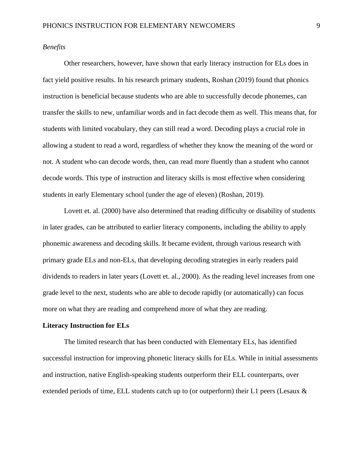## *Benefits*

Other researchers, however, have shown that early literacy instruction for ELs does in fact yield positive results. In his research primary students, Roshan (2019) found that phonics instruction is beneficial because students who are able to successfully decode phonemes, can transfer the skills to new, unfamiliar words and in fact decode them as well. This means that, for students with limited vocabulary, they can still read a word. Decoding plays a crucial role in allowing a student to read a word, regardless of whether they know the meaning of the word or not. A student who can decode words, then, can read more fluently than a student who cannot decode words. This type of instruction and literacy skills is most effective when considering students in early Elementary school (under the age of eleven) (Roshan, 2019).

Lovett et. al. (2000) have also determined that reading difficulty or disability of students in later grades, can be attributed to earlier literacy components, including the ability to apply phonemic awareness and decoding skills. It became evident, through various research with primary grade ELs and non-ELs, that developing decoding strategies in early readers paid dividends to readers in later years (Lovett et. al., 2000). As the reading level increases from one grade level to the next, students who are able to decode rapidly (or automatically) can focus more on what they are reading and comprehend more of what they are reading.

#### **Literacy Instruction for ELs**

The limited research that has been conducted with Elementary ELs, has identified successful instruction for improving phonetic literacy skills for ELs. While in initial assessments and instruction, native English-speaking students outperform their ELL counterparts, over extended periods of time, ELL students catch up to (or outperform) their L1 peers (Lesaux &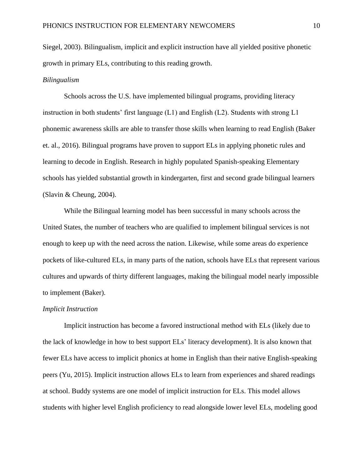Siegel, 2003). Bilingualism, implicit and explicit instruction have all yielded positive phonetic growth in primary ELs, contributing to this reading growth.

#### *Bilingualism*

Schools across the U.S. have implemented bilingual programs, providing literacy instruction in both students' first language (L1) and English (L2). Students with strong L1 phonemic awareness skills are able to transfer those skills when learning to read English (Baker et. al., 2016). Bilingual programs have proven to support ELs in applying phonetic rules and learning to decode in English. Research in highly populated Spanish-speaking Elementary schools has yielded substantial growth in kindergarten, first and second grade bilingual learners (Slavin & Cheung, 2004).

While the Bilingual learning model has been successful in many schools across the United States, the number of teachers who are qualified to implement bilingual services is not enough to keep up with the need across the nation. Likewise, while some areas do experience pockets of like-cultured ELs, in many parts of the nation, schools have ELs that represent various cultures and upwards of thirty different languages, making the bilingual model nearly impossible to implement (Baker).

#### *Implicit Instruction*

Implicit instruction has become a favored instructional method with ELs (likely due to the lack of knowledge in how to best support ELs' literacy development). It is also known that fewer ELs have access to implicit phonics at home in English than their native English-speaking peers (Yu, 2015). Implicit instruction allows ELs to learn from experiences and shared readings at school. Buddy systems are one model of implicit instruction for ELs. This model allows students with higher level English proficiency to read alongside lower level ELs, modeling good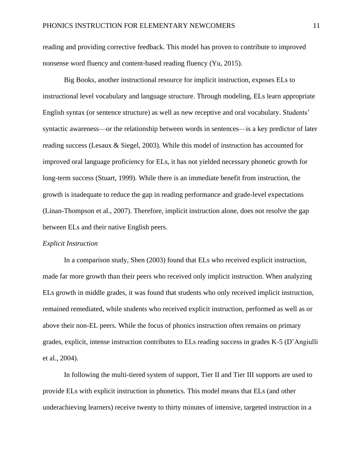reading and providing corrective feedback. This model has proven to contribute to improved nonsense word fluency and content-based reading fluency (Yu, 2015).

Big Books, another instructional resource for implicit instruction, exposes ELs to instructional level vocabulary and language structure. Through modeling, ELs learn appropriate English syntax (or sentence structure) as well as new receptive and oral vocabulary. Students' syntactic awareness—or the relationship between words in sentences—is a key predictor of later reading success (Lesaux & Siegel, 2003). While this model of instruction has accounted for improved oral language proficiency for ELs, it has not yielded necessary phonetic growth for long-term success (Stuart, 1999). While there is an immediate benefit from instruction, the growth is inadequate to reduce the gap in reading performance and grade-level expectations (Linan-Thompson et al., 2007). Therefore, implicit instruction alone, does not resolve the gap between ELs and their native English peers.

#### *Explicit Instruction*

In a comparison study, Shen (2003) found that ELs who received explicit instruction, made far more growth than their peers who received only implicit instruction. When analyzing ELs growth in middle grades, it was found that students who only received implicit instruction, remained remediated, while students who received explicit instruction, performed as well as or above their non-EL peers. While the focus of phonics instruction often remains on primary grades, explicit, intense instruction contributes to ELs reading success in grades K-5 (D'Angiulli et al., 2004).

In following the multi-tiered system of support, Tier II and Tier III supports are used to provide ELs with explicit instruction in phonetics. This model means that ELs (and other underachieving learners) receive twenty to thirty minutes of intensive, targeted instruction in a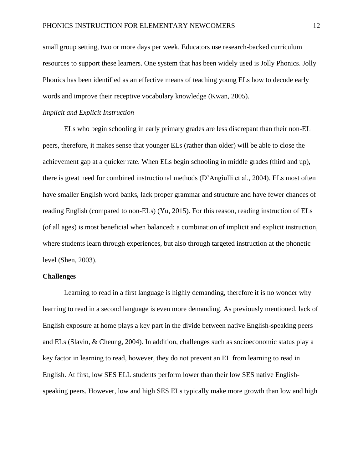small group setting, two or more days per week. Educators use research-backed curriculum resources to support these learners. One system that has been widely used is Jolly Phonics. Jolly Phonics has been identified as an effective means of teaching young ELs how to decode early words and improve their receptive vocabulary knowledge (Kwan, 2005).

#### *Implicit and Explicit Instruction*

ELs who begin schooling in early primary grades are less discrepant than their non-EL peers, therefore, it makes sense that younger ELs (rather than older) will be able to close the achievement gap at a quicker rate. When ELs begin schooling in middle grades (third and up), there is great need for combined instructional methods (D'Angiulli et al., 2004). ELs most often have smaller English word banks, lack proper grammar and structure and have fewer chances of reading English (compared to non-ELs) (Yu, 2015). For this reason, reading instruction of ELs (of all ages) is most beneficial when balanced: a combination of implicit and explicit instruction, where students learn through experiences, but also through targeted instruction at the phonetic level (Shen, 2003).

#### **Challenges**

Learning to read in a first language is highly demanding, therefore it is no wonder why learning to read in a second language is even more demanding. As previously mentioned, lack of English exposure at home plays a key part in the divide between native English-speaking peers and ELs (Slavin, & Cheung, 2004). In addition, challenges such as socioeconomic status play a key factor in learning to read, however, they do not prevent an EL from learning to read in English. At first, low SES ELL students perform lower than their low SES native Englishspeaking peers. However, low and high SES ELs typically make more growth than low and high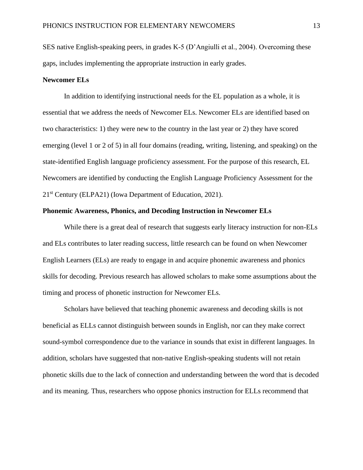SES native English-speaking peers, in grades K-5 (D'Angiulli et al., 2004). Overcoming these gaps, includes implementing the appropriate instruction in early grades.

#### **Newcomer ELs**

In addition to identifying instructional needs for the EL population as a whole, it is essential that we address the needs of Newcomer ELs. Newcomer ELs are identified based on two characteristics: 1) they were new to the country in the last year or 2) they have scored emerging (level 1 or 2 of 5) in all four domains (reading, writing, listening, and speaking) on the state-identified English language proficiency assessment. For the purpose of this research, EL Newcomers are identified by conducting the English Language Proficiency Assessment for the 21st Century (ELPA21) (Iowa Department of Education, 2021).

#### **Phonemic Awareness, Phonics, and Decoding Instruction in Newcomer ELs**

While there is a great deal of research that suggests early literacy instruction for non-ELs and ELs contributes to later reading success, little research can be found on when Newcomer English Learners (ELs) are ready to engage in and acquire phonemic awareness and phonics skills for decoding. Previous research has allowed scholars to make some assumptions about the timing and process of phonetic instruction for Newcomer ELs.

Scholars have believed that teaching phonemic awareness and decoding skills is not beneficial as ELLs cannot distinguish between sounds in English, nor can they make correct sound-symbol correspondence due to the variance in sounds that exist in different languages. In addition, scholars have suggested that non-native English-speaking students will not retain phonetic skills due to the lack of connection and understanding between the word that is decoded and its meaning. Thus, researchers who oppose phonics instruction for ELLs recommend that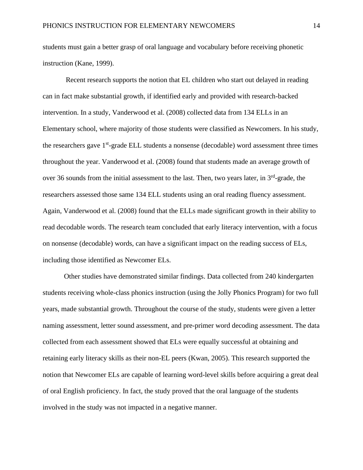students must gain a better grasp of oral language and vocabulary before receiving phonetic instruction (Kane, 1999).

Recent research supports the notion that EL children who start out delayed in reading can in fact make substantial growth, if identified early and provided with research-backed intervention. In a study, Vanderwood et al. (2008) collected data from 134 ELLs in an Elementary school, where majority of those students were classified as Newcomers. In his study, the researchers gave 1<sup>st</sup>-grade ELL students a nonsense (decodable) word assessment three times throughout the year. Vanderwood et al. (2008) found that students made an average growth of over 36 sounds from the initial assessment to the last. Then, two years later, in  $3<sup>rd</sup>$ -grade, the researchers assessed those same 134 ELL students using an oral reading fluency assessment. Again, Vanderwood et al. (2008) found that the ELLs made significant growth in their ability to read decodable words. The research team concluded that early literacy intervention, with a focus on nonsense (decodable) words, can have a significant impact on the reading success of ELs, including those identified as Newcomer ELs.

Other studies have demonstrated similar findings. Data collected from 240 kindergarten students receiving whole-class phonics instruction (using the Jolly Phonics Program) for two full years, made substantial growth. Throughout the course of the study, students were given a letter naming assessment, letter sound assessment, and pre-primer word decoding assessment. The data collected from each assessment showed that ELs were equally successful at obtaining and retaining early literacy skills as their non-EL peers (Kwan, 2005). This research supported the notion that Newcomer ELs are capable of learning word-level skills before acquiring a great deal of oral English proficiency. In fact, the study proved that the oral language of the students involved in the study was not impacted in a negative manner.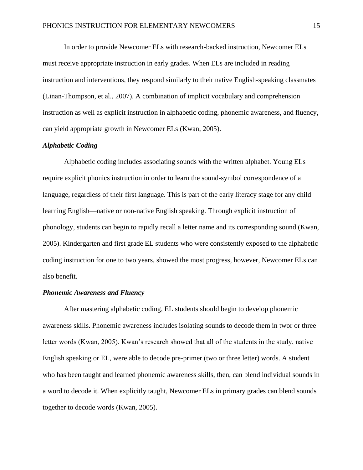In order to provide Newcomer ELs with research-backed instruction, Newcomer ELs must receive appropriate instruction in early grades. When ELs are included in reading instruction and interventions, they respond similarly to their native English-speaking classmates (Linan-Thompson, et al., 2007). A combination of implicit vocabulary and comprehension instruction as well as explicit instruction in alphabetic coding, phonemic awareness, and fluency, can yield appropriate growth in Newcomer ELs (Kwan, 2005).

## *Alphabetic Coding*

Alphabetic coding includes associating sounds with the written alphabet. Young ELs require explicit phonics instruction in order to learn the sound-symbol correspondence of a language, regardless of their first language. This is part of the early literacy stage for any child learning English—native or non-native English speaking. Through explicit instruction of phonology, students can begin to rapidly recall a letter name and its corresponding sound (Kwan, 2005). Kindergarten and first grade EL students who were consistently exposed to the alphabetic coding instruction for one to two years, showed the most progress, however, Newcomer ELs can also benefit.

#### *Phonemic Awareness and Fluency*

After mastering alphabetic coding, EL students should begin to develop phonemic awareness skills. Phonemic awareness includes isolating sounds to decode them in twor or three letter words (Kwan, 2005). Kwan's research showed that all of the students in the study, native English speaking or EL, were able to decode pre-primer (two or three letter) words. A student who has been taught and learned phonemic awareness skills, then, can blend individual sounds in a word to decode it. When explicitly taught, Newcomer ELs in primary grades can blend sounds together to decode words (Kwan, 2005).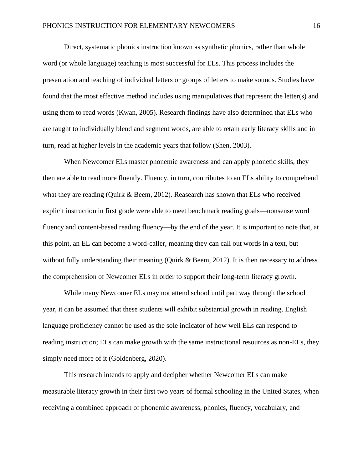Direct, systematic phonics instruction known as synthetic phonics, rather than whole word (or whole language) teaching is most successful for ELs. This process includes the presentation and teaching of individual letters or groups of letters to make sounds. Studies have found that the most effective method includes using manipulatives that represent the letter(s) and using them to read words (Kwan, 2005). Research findings have also determined that ELs who are taught to individually blend and segment words, are able to retain early literacy skills and in turn, read at higher levels in the academic years that follow (Shen, 2003).

When Newcomer ELs master phonemic awareness and can apply phonetic skills, they then are able to read more fluently. Fluency, in turn, contributes to an ELs ability to comprehend what they are reading (Quirk & Beem, 2012). Reasearch has shown that ELs who received explicit instruction in first grade were able to meet benchmark reading goals—nonsense word fluency and content-based reading fluency—by the end of the year. It is important to note that, at this point, an EL can become a word-caller, meaning they can call out words in a text, but without fully understanding their meaning (Quirk  $\&$  Beem, 2012). It is then necessary to address the comprehension of Newcomer ELs in order to support their long-term literacy growth.

While many Newcomer ELs may not attend school until part way through the school year, it can be assumed that these students will exhibit substantial growth in reading. English language proficiency cannot be used as the sole indicator of how well ELs can respond to reading instruction; ELs can make growth with the same instructional resources as non-ELs, they simply need more of it (Goldenberg, 2020).

This research intends to apply and decipher whether Newcomer ELs can make measurable literacy growth in their first two years of formal schooling in the United States, when receiving a combined approach of phonemic awareness, phonics, fluency, vocabulary, and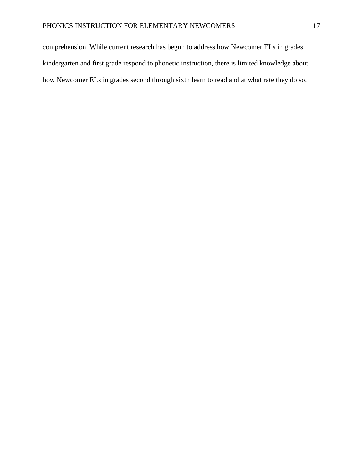<span id="page-17-0"></span>comprehension. While current research has begun to address how Newcomer ELs in grades kindergarten and first grade respond to phonetic instruction, there is limited knowledge about how Newcomer ELs in grades second through sixth learn to read and at what rate they do so.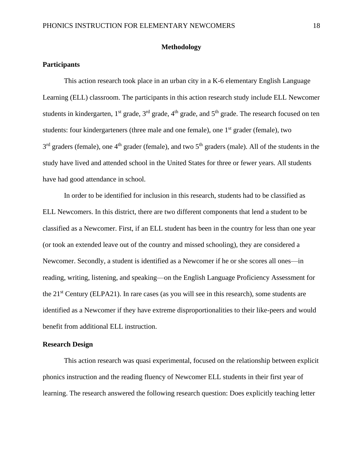## **Methodology**

## <span id="page-18-0"></span>**Participants**

This action research took place in an urban city in a K-6 elementary English Language Learning (ELL) classroom. The participants in this action research study include ELL Newcomer students in kindergarten,  $1^{st}$  grade,  $3^{rd}$  grade,  $4^{th}$  grade, and  $5^{th}$  grade. The research focused on ten students: four kindergarteners (three male and one female), one  $1<sup>st</sup>$  grader (female), two 3<sup>rd</sup> graders (female), one 4<sup>th</sup> grader (female), and two 5<sup>th</sup> graders (male). All of the students in the study have lived and attended school in the United States for three or fewer years. All students have had good attendance in school.

In order to be identified for inclusion in this research, students had to be classified as ELL Newcomers. In this district, there are two different components that lend a student to be classified as a Newcomer. First, if an ELL student has been in the country for less than one year (or took an extended leave out of the country and missed schooling), they are considered a Newcomer. Secondly, a student is identified as a Newcomer if he or she scores all ones—in reading, writing, listening, and speaking—on the English Language Proficiency Assessment for the 21st Century (ELPA21). In rare cases (as you will see in this research), some students are identified as a Newcomer if they have extreme disproportionalities to their like-peers and would benefit from additional ELL instruction.

#### <span id="page-18-1"></span>**Research Design**

This action research was quasi experimental, focused on the relationship between explicit phonics instruction and the reading fluency of Newcomer ELL students in their first year of learning. The research answered the following research question: Does explicitly teaching letter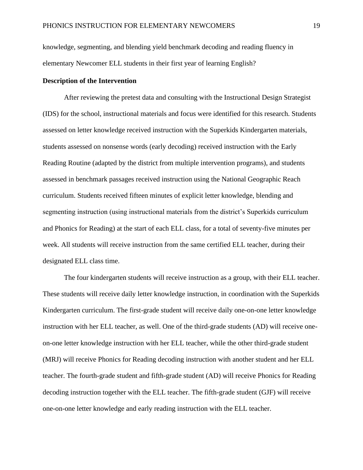knowledge, segmenting, and blending yield benchmark decoding and reading fluency in elementary Newcomer ELL students in their first year of learning English?

#### <span id="page-19-0"></span>**Description of the Intervention**

After reviewing the pretest data and consulting with the Instructional Design Strategist (IDS) for the school, instructional materials and focus were identified for this research. Students assessed on letter knowledge received instruction with the Superkids Kindergarten materials, students assessed on nonsense words (early decoding) received instruction with the Early Reading Routine (adapted by the district from multiple intervention programs), and students assessed in benchmark passages received instruction using the National Geographic Reach curriculum. Students received fifteen minutes of explicit letter knowledge, blending and segmenting instruction (using instructional materials from the district's Superkids curriculum and Phonics for Reading) at the start of each ELL class, for a total of seventy-five minutes per week. All students will receive instruction from the same certified ELL teacher, during their designated ELL class time.

The four kindergarten students will receive instruction as a group, with their ELL teacher. These students will receive daily letter knowledge instruction, in coordination with the Superkids Kindergarten curriculum. The first-grade student will receive daily one-on-one letter knowledge instruction with her ELL teacher, as well. One of the third-grade students (AD) will receive oneon-one letter knowledge instruction with her ELL teacher, while the other third-grade student (MRJ) will receive Phonics for Reading decoding instruction with another student and her ELL teacher. The fourth-grade student and fifth-grade student (AD) will receive Phonics for Reading decoding instruction together with the ELL teacher. The fifth-grade student (GJF) will receive one-on-one letter knowledge and early reading instruction with the ELL teacher.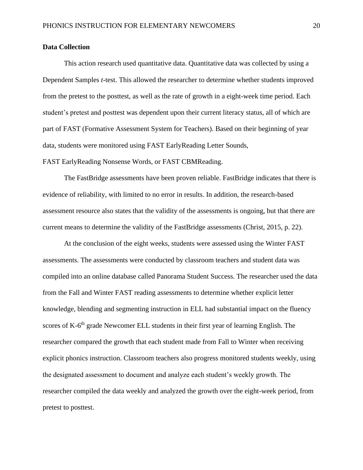#### <span id="page-20-0"></span>**Data Collection**

This action research used quantitative data. Quantitative data was collected by using a Dependent Samples *t*-test. This allowed the researcher to determine whether students improved from the pretest to the posttest, as well as the rate of growth in a eight-week time period. Each student's pretest and posttest was dependent upon their current literacy status, all of which are part of FAST (Formative Assessment System for Teachers). Based on their beginning of year data, students were monitored using FAST EarlyReading Letter Sounds,

FAST EarlyReading Nonsense Words, or FAST CBMReading.

The FastBridge assessments have been proven reliable. FastBridge indicates that there is evidence of reliability, with limited to no error in results. In addition, the research-based assessment resource also states that the validity of the assessments is ongoing, but that there are current means to determine the validity of the FastBridge assessments (Christ, 2015, p. 22).

At the conclusion of the eight weeks, students were assessed using the Winter FAST assessments. The assessments were conducted by classroom teachers and student data was compiled into an online database called Panorama Student Success. The researcher used the data from the Fall and Winter FAST reading assessments to determine whether explicit letter knowledge, blending and segmenting instruction in ELL had substantial impact on the fluency scores of K-6<sup>th</sup> grade Newcomer ELL students in their first year of learning English. The researcher compared the growth that each student made from Fall to Winter when receiving explicit phonics instruction. Classroom teachers also progress monitored students weekly, using the designated assessment to document and analyze each student's weekly growth. The researcher compiled the data weekly and analyzed the growth over the eight-week period, from pretest to posttest.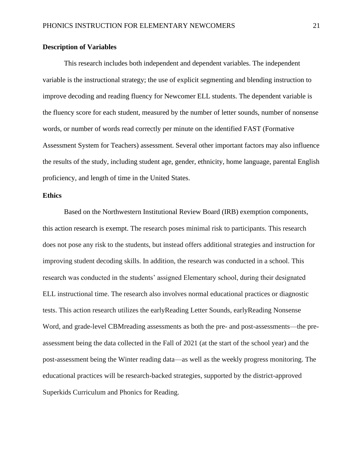## <span id="page-21-0"></span>**Description of Variables**

This research includes both independent and dependent variables. The independent variable is the instructional strategy; the use of explicit segmenting and blending instruction to improve decoding and reading fluency for Newcomer ELL students. The dependent variable is the fluency score for each student, measured by the number of letter sounds, number of nonsense words, or number of words read correctly per minute on the identified FAST (Formative Assessment System for Teachers) assessment. Several other important factors may also influence the results of the study, including student age, gender, ethnicity, home language, parental English proficiency, and length of time in the United States.

## <span id="page-21-1"></span>**Ethics**

Based on the Northwestern Institutional Review Board (IRB) exemption components, this action research is exempt. The research poses minimal risk to participants. This research does not pose any risk to the students, but instead offers additional strategies and instruction for improving student decoding skills. In addition, the research was conducted in a school. This research was conducted in the students' assigned Elementary school, during their designated ELL instructional time. The research also involves normal educational practices or diagnostic tests. This action research utilizes the earlyReading Letter Sounds, earlyReading Nonsense Word, and grade-level CBMreading assessments as both the pre- and post-assessments—the preassessment being the data collected in the Fall of 2021 (at the start of the school year) and the post-assessment being the Winter reading data—as well as the weekly progress monitoring. The educational practices will be research-backed strategies, supported by the district-approved Superkids Curriculum and Phonics for Reading.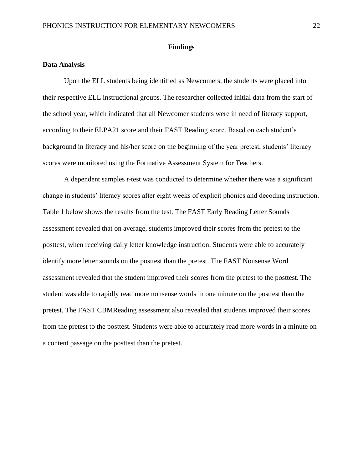#### **Findings**

#### <span id="page-22-1"></span><span id="page-22-0"></span>**Data Analysis**

Upon the ELL students being identified as Newcomers, the students were placed into their respective ELL instructional groups. The researcher collected initial data from the start of the school year, which indicated that all Newcomer students were in need of literacy support, according to their ELPA21 score and their FAST Reading score. Based on each student's background in literacy and his/her score on the beginning of the year pretest, students' literacy scores were monitored using the Formative Assessment System for Teachers.

A dependent samples *t*-test was conducted to determine whether there was a significant change in students' literacy scores after eight weeks of explicit phonics and decoding instruction. Table 1 below shows the results from the test. The FAST Early Reading Letter Sounds assessment revealed that on average, students improved their scores from the pretest to the posttest, when receiving daily letter knowledge instruction. Students were able to accurately identify more letter sounds on the posttest than the pretest. The FAST Nonsense Word assessment revealed that the student improved their scores from the pretest to the posttest. The student was able to rapidly read more nonsense words in one minute on the posttest than the pretest. The FAST CBMReading assessment also revealed that students improved their scores from the pretest to the posttest. Students were able to accurately read more words in a minute on a content passage on the posttest than the pretest.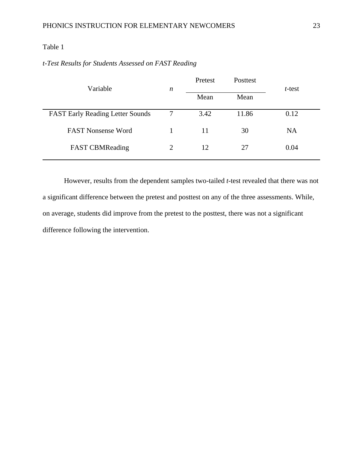## Table 1

| t-Test Results for Students Assessed on FAST Reading |  |  |  |
|------------------------------------------------------|--|--|--|
|------------------------------------------------------|--|--|--|

| Variable                                | n | Pretest | Posttest | t-test    |
|-----------------------------------------|---|---------|----------|-----------|
|                                         |   | Mean    | Mean     |           |
| <b>FAST Early Reading Letter Sounds</b> | 7 | 3.42    | 11.86    | 0.12      |
| <b>FAST Nonsense Word</b>               |   | 11      | 30       | <b>NA</b> |
| <b>FAST CBMReading</b>                  | 2 | 12      | 27       | 0.04      |

However, results from the dependent samples two-tailed *t*-test revealed that there was not a significant difference between the pretest and posttest on any of the three assessments. While, on average, students did improve from the pretest to the posttest, there was not a significant difference following the intervention.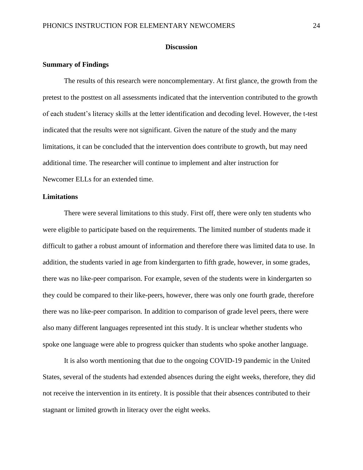#### **Discussion**

#### <span id="page-24-1"></span><span id="page-24-0"></span>**Summary of Findings**

The results of this research were noncomplementary. At first glance, the growth from the pretest to the posttest on all assessments indicated that the intervention contributed to the growth of each student's literacy skills at the letter identification and decoding level. However, the t-test indicated that the results were not significant. Given the nature of the study and the many limitations, it can be concluded that the intervention does contribute to growth, but may need additional time. The researcher will continue to implement and alter instruction for Newcomer ELLs for an extended time.

## <span id="page-24-2"></span>**Limitations**

There were several limitations to this study. First off, there were only ten students who were eligible to participate based on the requirements. The limited number of students made it difficult to gather a robust amount of information and therefore there was limited data to use. In addition, the students varied in age from kindergarten to fifth grade, however, in some grades, there was no like-peer comparison. For example, seven of the students were in kindergarten so they could be compared to their like-peers, however, there was only one fourth grade, therefore there was no like-peer comparison. In addition to comparison of grade level peers, there were also many different languages represented int this study. It is unclear whether students who spoke one language were able to progress quicker than students who spoke another language.

It is also worth mentioning that due to the ongoing COVID-19 pandemic in the United States, several of the students had extended absences during the eight weeks, therefore, they did not receive the intervention in its entirety. It is possible that their absences contributed to their stagnant or limited growth in literacy over the eight weeks.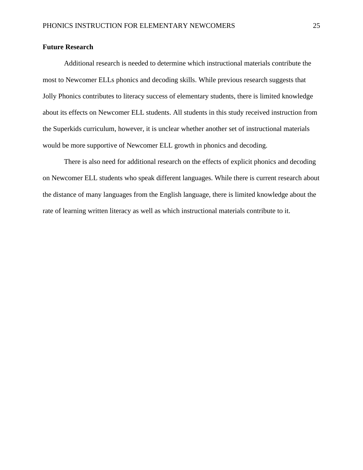## <span id="page-25-0"></span>**Future Research**

Additional research is needed to determine which instructional materials contribute the most to Newcomer ELLs phonics and decoding skills. While previous research suggests that Jolly Phonics contributes to literacy success of elementary students, there is limited knowledge about its effects on Newcomer ELL students. All students in this study received instruction from the Superkids curriculum, however, it is unclear whether another set of instructional materials would be more supportive of Newcomer ELL growth in phonics and decoding.

There is also need for additional research on the effects of explicit phonics and decoding on Newcomer ELL students who speak different languages. While there is current research about the distance of many languages from the English language, there is limited knowledge about the rate of learning written literacy as well as which instructional materials contribute to it.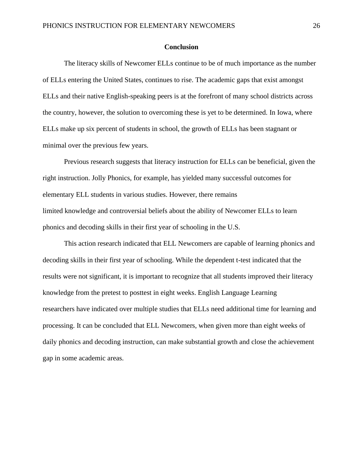#### **Conclusion**

<span id="page-26-0"></span>The literacy skills of Newcomer ELLs continue to be of much importance as the number of ELLs entering the United States, continues to rise. The academic gaps that exist amongst ELLs and their native English-speaking peers is at the forefront of many school districts across the country, however, the solution to overcoming these is yet to be determined. In Iowa, where ELLs make up six percent of students in school, the growth of ELLs has been stagnant or minimal over the previous few years.

Previous research suggests that literacy instruction for ELLs can be beneficial, given the right instruction. Jolly Phonics, for example, has yielded many successful outcomes for elementary ELL students in various studies. However, there remains limited knowledge and controversial beliefs about the ability of Newcomer ELLs to learn phonics and decoding skills in their first year of schooling in the U.S.

This action research indicated that ELL Newcomers are capable of learning phonics and decoding skills in their first year of schooling. While the dependent t-test indicated that the results were not significant, it is important to recognize that all students improved their literacy knowledge from the pretest to posttest in eight weeks. English Language Learning researchers have indicated over multiple studies that ELLs need additional time for learning and processing. It can be concluded that ELL Newcomers, when given more than eight weeks of daily phonics and decoding instruction, can make substantial growth and close the achievement gap in some academic areas.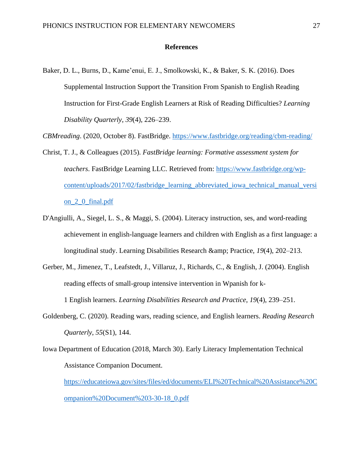#### **References**

<span id="page-27-0"></span>Baker, D. L., Burns, D., Kame'enui, E. J., Smolkowski, K., & Baker, S. K. (2016). Does Supplemental Instruction Support the Transition From Spanish to English Reading Instruction for First-Grade English Learners at Risk of Reading Difficulties? *Learning Disability Quarterly*, *39*(4), 226–239.

*CBMreading*. (2020, October 8). FastBridge. <https://www.fastbridge.org/reading/cbm-reading/>

- Christ, T. J., & Colleagues (2015). *FastBridge learning: Formative assessment system for teachers*. FastBridge Learning LLC. Retrieved from: [https://www.fastbridge.org/wp](https://www.fastbridge.org/wp-content/uploads/2017/02/fastbridge_learning_abbreviated_iowa_technical_manual_version_2_0_final.pdf)[content/uploads/2017/02/fastbridge\\_learning\\_abbreviated\\_iowa\\_technical\\_manual\\_versi](https://www.fastbridge.org/wp-content/uploads/2017/02/fastbridge_learning_abbreviated_iowa_technical_manual_version_2_0_final.pdf) [on\\_2\\_0\\_final.pdf](https://www.fastbridge.org/wp-content/uploads/2017/02/fastbridge_learning_abbreviated_iowa_technical_manual_version_2_0_final.pdf)
- D'Angiulli, A., Siegel, L. S., & Maggi, S. (2004). Literacy instruction, ses, and word-reading achievement in english-language learners and children with English as a first language: a longitudinal study. Learning Disabilities Research & amp; Practice, 19(4), 202–213.
- Gerber, M., Jimenez, T., Leafstedt, J., Villaruz, J., Richards, C., & English, J. (2004). English reading effects of small-group intensive intervention in Wpanish for k-1 English learners. *Learning Disabilities Research and Practice*, *19*(4), 239–251.
- Goldenberg, C. (2020). Reading wars, reading science, and English learners. *Reading Research Quarterly*, *55*(S1), 144.
- Iowa Department of Education (2018, March 30). Early Literacy Implementation Technical Assistance Companion Document.

[https://educateiowa.gov/sites/files/ed/documents/ELI%20Technical%20Assistance%20C](https://educateiowa.gov/sites/files/ed/documents/ELI%20Technical%20Assistance%20Companion%20Document%203-30-18_0.pdf) [ompanion%20Document%203-30-18\\_0.pdf](https://educateiowa.gov/sites/files/ed/documents/ELI%20Technical%20Assistance%20Companion%20Document%203-30-18_0.pdf)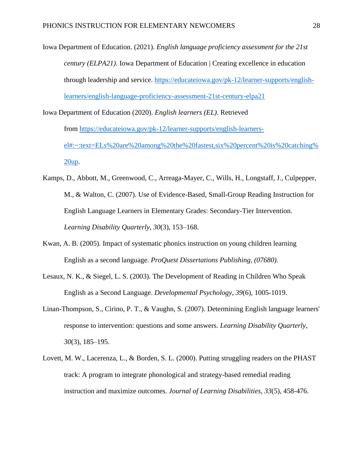Iowa Department of Education. (2021). *English language proficiency assessment for the 21st century (ELPA21)*. Iowa Department of Education | Creating excellence in education through leadership and service. [https://educateiowa.gov/pk-12/learner-supports/english](https://educateiowa.gov/pk-12/learner-supports/english-learners/english-language-proficiency-assessment-21st-century-elpa21)[learners/english-language-proficiency-assessment-21st-century-elpa21](https://educateiowa.gov/pk-12/learner-supports/english-learners/english-language-proficiency-assessment-21st-century-elpa21)

- Iowa Department of Education (2020). *English learners (EL)*. Retrieved from [https://educateiowa.gov/pk-12/learner-supports/english-learners](https://educateiowa.gov/pk-12/learner-supports/english-learners-el#:~:text=ELs%20are%20among%20the%20fastest,six%20percent%20is%20catching%20up)[el#:~:text=ELs%20are%20among%20the%20fastest,six%20percent%20is%20catching%](https://educateiowa.gov/pk-12/learner-supports/english-learners-el#:~:text=ELs%20are%20among%20the%20fastest,six%20percent%20is%20catching%20up) [20up.](https://educateiowa.gov/pk-12/learner-supports/english-learners-el#:~:text=ELs%20are%20among%20the%20fastest,six%20percent%20is%20catching%20up)
- Kamps, D., Abbott, M., Greenwood, C., Arreaga-Mayer, C., Wills, H., Longstaff, J., Culpepper, M., & Walton, C. (2007). Use of Evidence-Based, Small-Group Reading Instruction for English Language Learners in Elementary Grades: Secondary-Tier Intervention. *Learning Disability Quarterly*, *30*(3), 153–168.
- Kwan, A. B. (2005). Impact of systematic phonics instruction on young children learning English as a second language. *ProQuest Dissertations Publishing, (07680).*
- Lesaux, N. K., & Siegel, L. S. (2003). The Development of Reading in Children Who Speak English as a Second Language. *Developmental Psychology, 39*(6), 1005-1019.
- Linan-Thompson, S., Cirino, P. T., & Vaughn, S. (2007). Determining English language learners' response to intervention: questions and some answers. *Learning Disability Quarterly, 30*(3), 185–195.
- Lovett, M. W., Lacerenza, L., & Borden, S. L. (2000). Putting struggling readers on the PHAST track: A program to integrate phonological and strategy-based remedial reading instruction and maximize outcomes. *Journal of Learning Disabilities, 33*(5), 458-476.